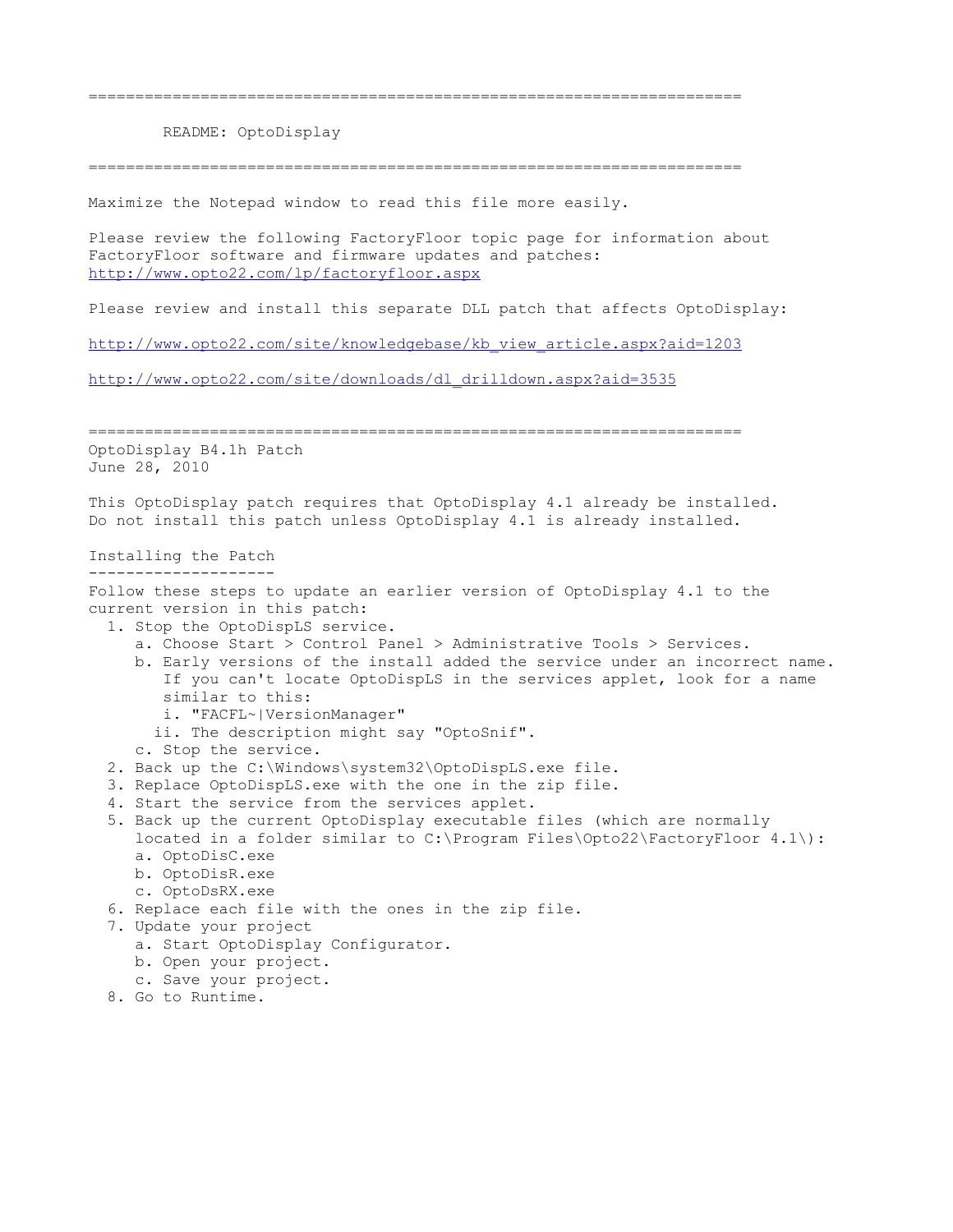======================================================================

README: OptoDisplay

======================================================================

Maximize the Notepad window to read this file more easily.

Please review the following FactoryFloor topic page for information about FactoryFloor software and firmware updates and patches: <http://www.opto22.com/lp/factoryfloor.aspx>

Please review and install this separate DLL patch that affects OptoDisplay:

[http://www.opto22.com/site/knowledgebase/kb\\_view\\_article.aspx?aid=1203](http://www.opto22.com/site/knowledgebase/kb_view_article.aspx?aid=1203)

[http://www.opto22.com/site/downloads/dl\\_drilldown.aspx?aid=3535](http://www.opto22.com/site/downloads/dl_drilldown.aspx?aid=3535)

====================================================================== OptoDisplay B4.1h Patch June 28, 2010 This OptoDisplay patch requires that OptoDisplay 4.1 already be installed. Do not install this patch unless OptoDisplay 4.1 is already installed. Installing the Patch -------------------- Follow these steps to update an earlier version of OptoDisplay 4.1 to the current version in this patch: 1. Stop the OptoDispLS service. a. Choose Start > Control Panel > Administrative Tools > Services. b. Early versions of the install added the service under an incorrect name. If you can't locate OptoDispLS in the services applet, look for a name similar to this: i. "FACFL~|VersionManager" ii. The description might say "OptoSnif". c. Stop the service. 2. Back up the C:\Windows\system32\OptoDispLS.exe file. 3. Replace OptoDispLS.exe with the one in the zip file. 4. Start the service from the services applet. 5. Back up the current OptoDisplay executable files (which are normally located in a folder similar to C:\Program Files\Opto22\FactoryFloor 4.1\): a. OptoDisC.exe b. OptoDisR.exe c. OptoDsRX.exe 6. Replace each file with the ones in the zip file. 7. Update your project a. Start OptoDisplay Configurator. b. Open your project. c. Save your project.

8. Go to Runtime.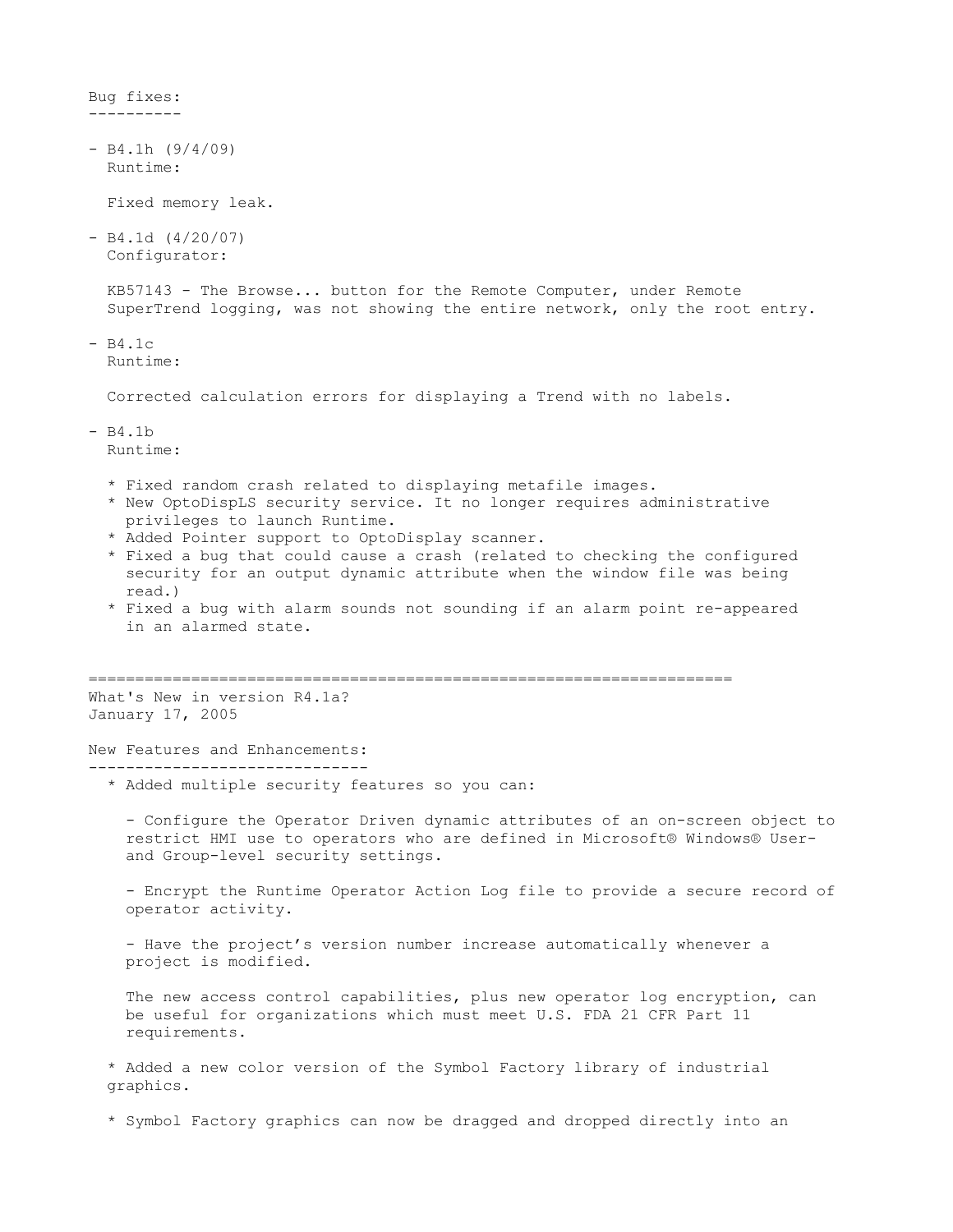Bug fixes: ---------- - B4.1h (9/4/09) Runtime: Fixed memory leak.  $- B4.1d (4/20/07)$  Configurator: KB57143 - The Browse... button for the Remote Computer, under Remote SuperTrend logging, was not showing the entire network, only the root entry. - B4.1c Runtime: Corrected calculation errors for displaying a Trend with no labels. - B4.1b Runtime: \* Fixed random crash related to displaying metafile images. \* New OptoDispLS security service. It no longer requires administrative privileges to launch Runtime. \* Added Pointer support to OptoDisplay scanner. \* Fixed a bug that could cause a crash (related to checking the configured security for an output dynamic attribute when the window file was being read.) \* Fixed a bug with alarm sounds not sounding if an alarm point re-appeared in an alarmed state. ===================================================================== What's New in version R4.1a? January 17, 2005 New Features and Enhancements: ------------------------------ \* Added multiple security features so you can: - Configure the Operator Driven dynamic attributes of an on-screen object to restrict HMI use to operators who are defined in Microsoft® Windows® User and Group-level security settings. - Encrypt the Runtime Operator Action Log file to provide a secure record of operator activity. - Have the project's version number increase automatically whenever a project is modified. The new access control capabilities, plus new operator log encryption, can be useful for organizations which must meet U.S. FDA 21 CFR Part 11 requirements. \* Added a new color version of the Symbol Factory library of industrial graphics.

\* Symbol Factory graphics can now be dragged and dropped directly into an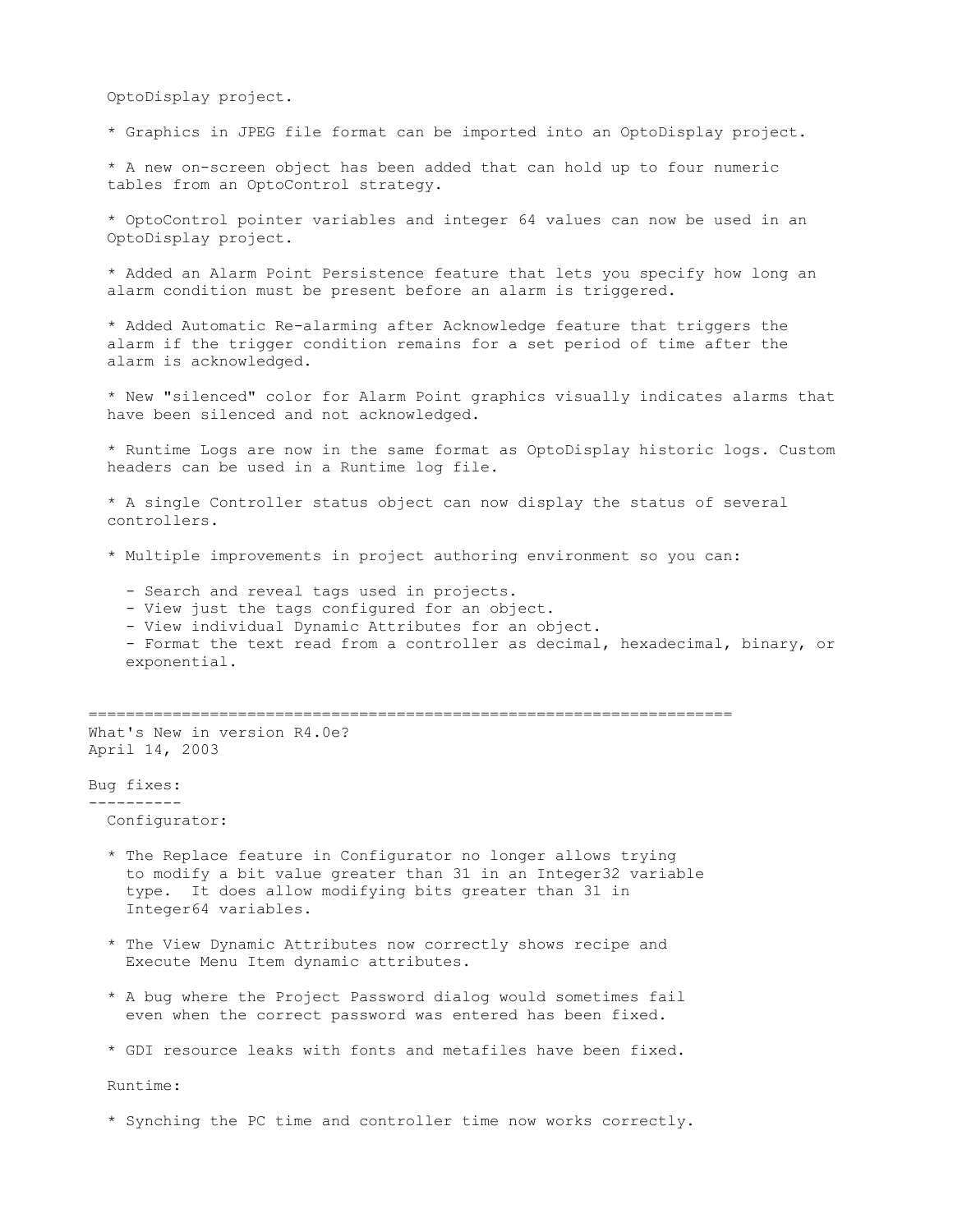OptoDisplay project.

\* Graphics in JPEG file format can be imported into an OptoDisplay project.

 \* A new on-screen object has been added that can hold up to four numeric tables from an OptoControl strategy.

 \* OptoControl pointer variables and integer 64 values can now be used in an OptoDisplay project.

 \* Added an Alarm Point Persistence feature that lets you specify how long an alarm condition must be present before an alarm is triggered.

 \* Added Automatic Re-alarming after Acknowledge feature that triggers the alarm if the trigger condition remains for a set period of time after the alarm is acknowledged.

 \* New "silenced" color for Alarm Point graphics visually indicates alarms that have been silenced and not acknowledged.

 \* Runtime Logs are now in the same format as OptoDisplay historic logs. Custom headers can be used in a Runtime log file.

 \* A single Controller status object can now display the status of several controllers.

- \* Multiple improvements in project authoring environment so you can:
	- Search and reveal tags used in projects.
	- View just the tags configured for an object.
	- View individual Dynamic Attributes for an object.
	- Format the text read from a controller as decimal, hexadecimal, binary, or exponential.

===================================================================== What's New in version R4.0e? April 14, 2003

Bug fixes:

----------

Configurator:

- \* The Replace feature in Configurator no longer allows trying to modify a bit value greater than 31 in an Integer32 variable type. It does allow modifying bits greater than 31 in Integer64 variables.
- \* The View Dynamic Attributes now correctly shows recipe and Execute Menu Item dynamic attributes.
- \* A bug where the Project Password dialog would sometimes fail even when the correct password was entered has been fixed.
- \* GDI resource leaks with fonts and metafiles have been fixed.

Runtime:

\* Synching the PC time and controller time now works correctly.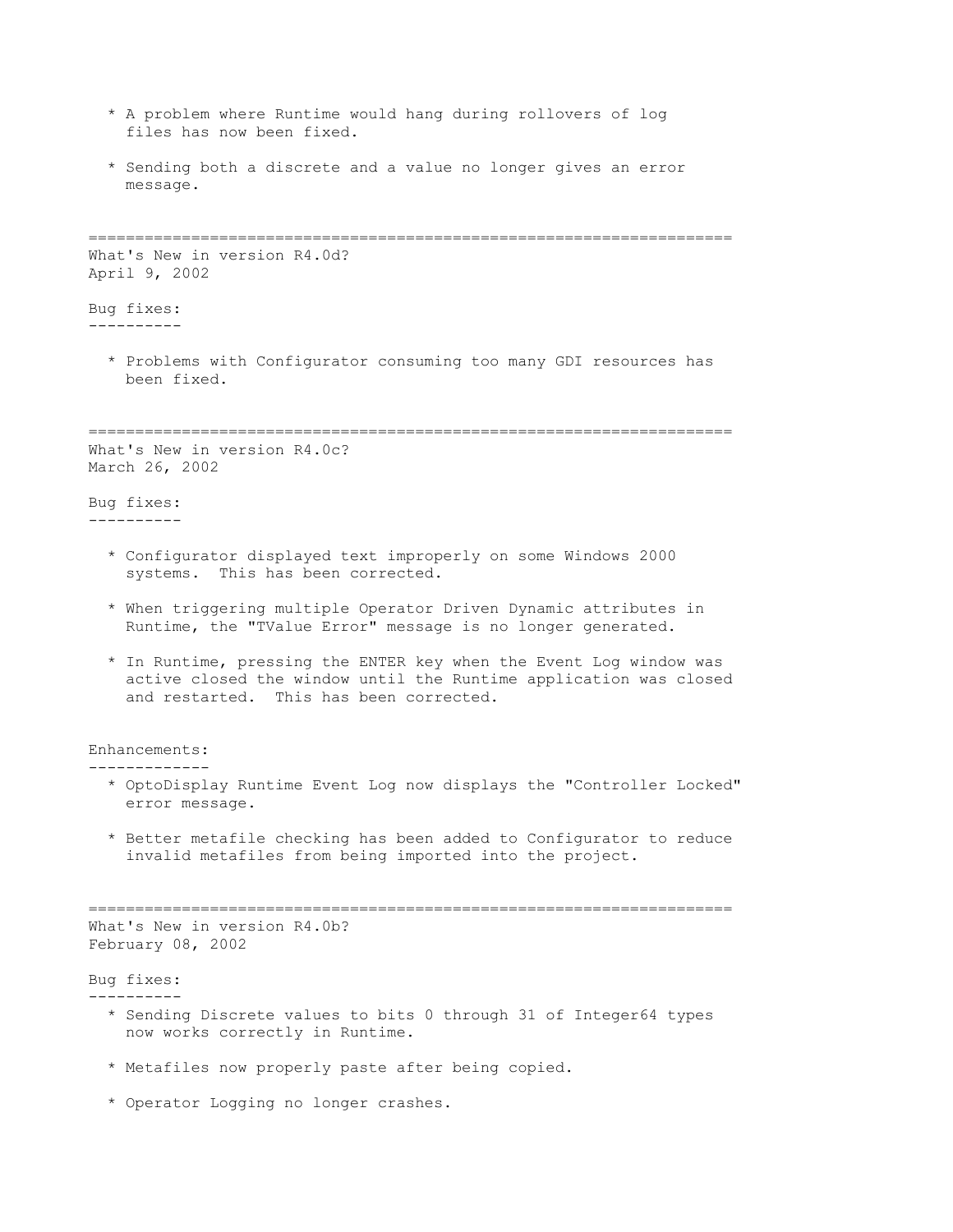- \* A problem where Runtime would hang during rollovers of log files has now been fixed.
- \* Sending both a discrete and a value no longer gives an error message.

===================================================================== What's New in version R4.0d? April 9, 2002

Bug fixes: ----------

> \* Problems with Configurator consuming too many GDI resources has been fixed.

=====================================================================

What's New in version R4.0c? March 26, 2002

# Bug fixes:

----------

- \* Configurator displayed text improperly on some Windows 2000 systems. This has been corrected.
- \* When triggering multiple Operator Driven Dynamic attributes in Runtime, the "TValue Error" message is no longer generated.
- \* In Runtime, pressing the ENTER key when the Event Log window was active closed the window until the Runtime application was closed and restarted. This has been corrected.

### Enhancements:

-------------

- \* OptoDisplay Runtime Event Log now displays the "Controller Locked" error message.
- \* Better metafile checking has been added to Configurator to reduce invalid metafiles from being imported into the project.

===================================================================== What's New in version R4.0b? February 08, 2002

Bug fixes:

----------

- \* Sending Discrete values to bits 0 through 31 of Integer64 types now works correctly in Runtime.
- \* Metafiles now properly paste after being copied.
- \* Operator Logging no longer crashes.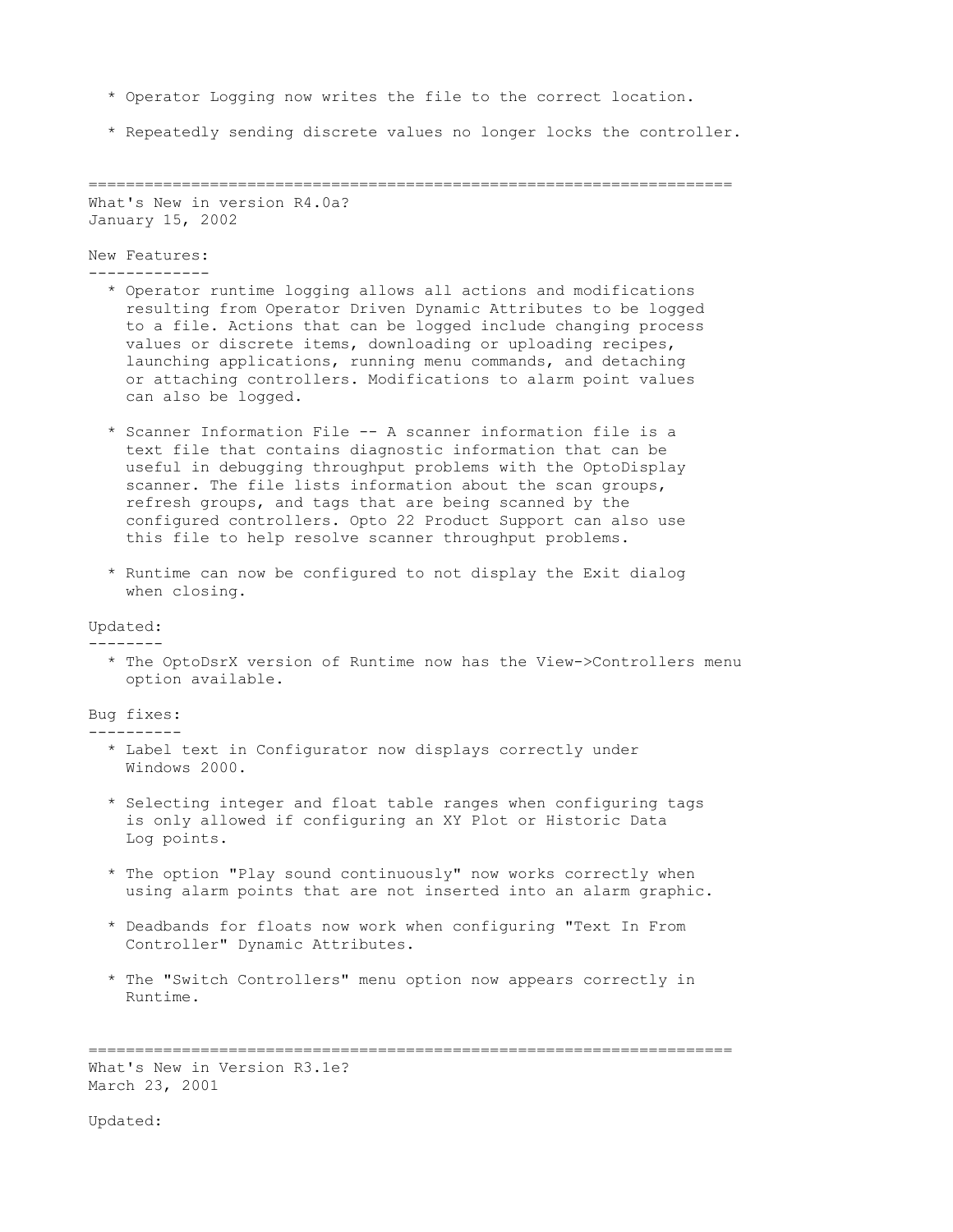- \* Operator Logging now writes the file to the correct location.
- \* Repeatedly sending discrete values no longer locks the controller.

===================================================================== What's New in version R4.0a? January 15, 2002

New Features: -------------

- \* Operator runtime logging allows all actions and modifications resulting from Operator Driven Dynamic Attributes to be logged to a file. Actions that can be logged include changing process values or discrete items, downloading or uploading recipes, launching applications, running menu commands, and detaching or attaching controllers. Modifications to alarm point values can also be logged.
- \* Scanner Information File -- A scanner information file is a text file that contains diagnostic information that can be useful in debugging throughput problems with the OptoDisplay scanner. The file lists information about the scan groups, refresh groups, and tags that are being scanned by the configured controllers. Opto 22 Product Support can also use this file to help resolve scanner throughput problems.
- \* Runtime can now be configured to not display the Exit dialog when closing.

Updated: --------

> \* The OptoDsrX version of Runtime now has the View->Controllers menu option available.

#### Bug fixes:

#### ----------

- \* Label text in Configurator now displays correctly under Windows 2000.
- \* Selecting integer and float table ranges when configuring tags is only allowed if configuring an XY Plot or Historic Data Log points.
- \* The option "Play sound continuously" now works correctly when using alarm points that are not inserted into an alarm graphic.
- \* Deadbands for floats now work when configuring "Text In From Controller" Dynamic Attributes.
- \* The "Switch Controllers" menu option now appears correctly in Runtime.

=====================================================================

What's New in Version R3.1e? March 23, 2001

Updated: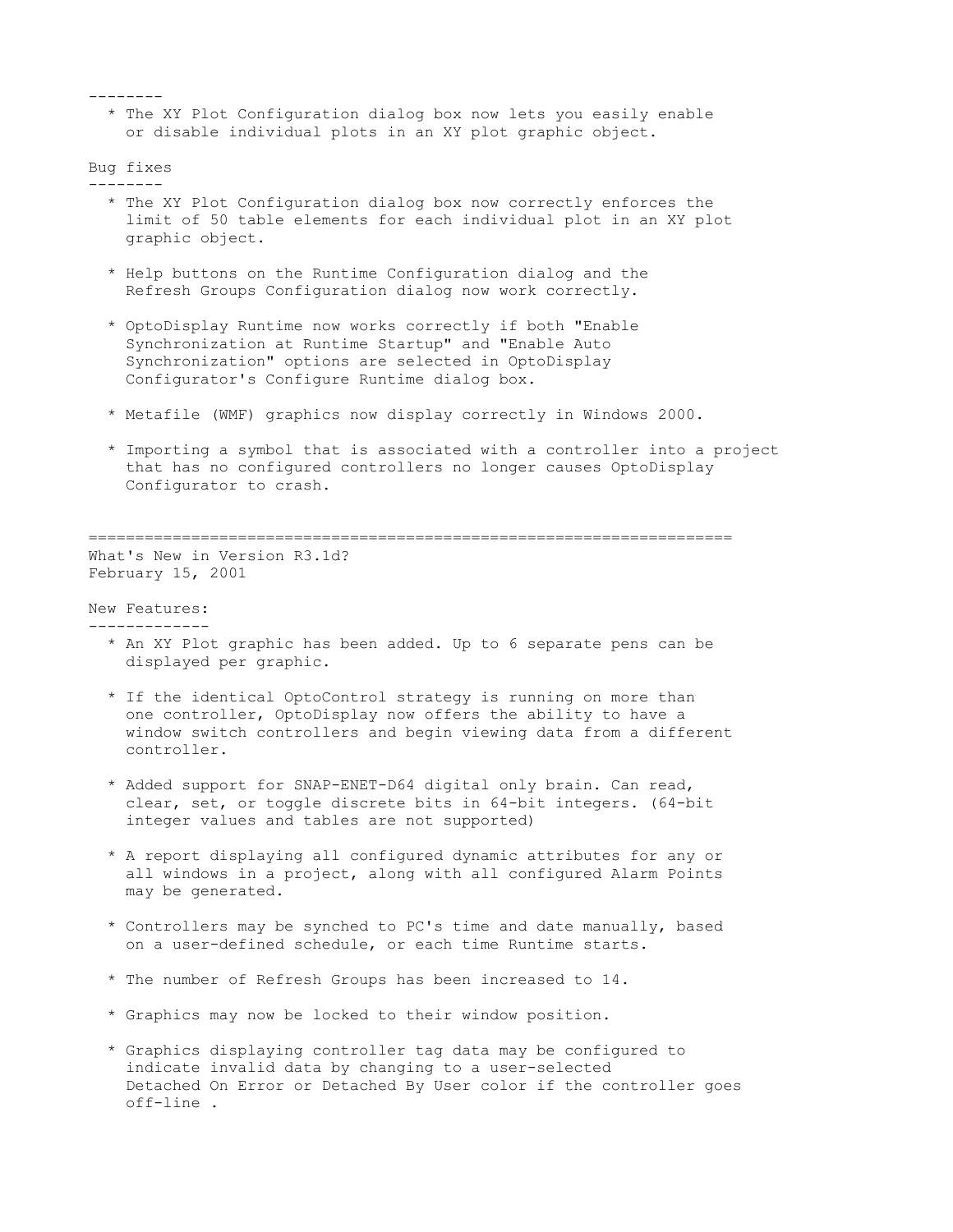- --------
	- \* The XY Plot Configuration dialog box now lets you easily enable or disable individual plots in an XY plot graphic object.

Bug fixes

- --------
	- \* The XY Plot Configuration dialog box now correctly enforces the limit of 50 table elements for each individual plot in an XY plot graphic object.
	- \* Help buttons on the Runtime Configuration dialog and the Refresh Groups Configuration dialog now work correctly.
	- \* OptoDisplay Runtime now works correctly if both "Enable Synchronization at Runtime Startup" and "Enable Auto Synchronization" options are selected in OptoDisplay Configurator's Configure Runtime dialog box.
	- \* Metafile (WMF) graphics now display correctly in Windows 2000.
	- \* Importing a symbol that is associated with a controller into a project that has no configured controllers no longer causes OptoDisplay Configurator to crash.

===================================================================== What's New in Version R3.1d? February 15, 2001

# New Features: -------------

- \* An XY Plot graphic has been added. Up to 6 separate pens can be displayed per graphic.
- \* If the identical OptoControl strategy is running on more than one controller, OptoDisplay now offers the ability to have a window switch controllers and begin viewing data from a different controller.
- \* Added support for SNAP-ENET-D64 digital only brain. Can read, clear, set, or toggle discrete bits in 64-bit integers. (64-bit integer values and tables are not supported)
- \* A report displaying all configured dynamic attributes for any or all windows in a project, along with all configured Alarm Points may be generated.
- \* Controllers may be synched to PC's time and date manually, based on a user-defined schedule, or each time Runtime starts.
- \* The number of Refresh Groups has been increased to 14.
- \* Graphics may now be locked to their window position.
- \* Graphics displaying controller tag data may be configured to indicate invalid data by changing to a user-selected Detached On Error or Detached By User color if the controller goes off-line .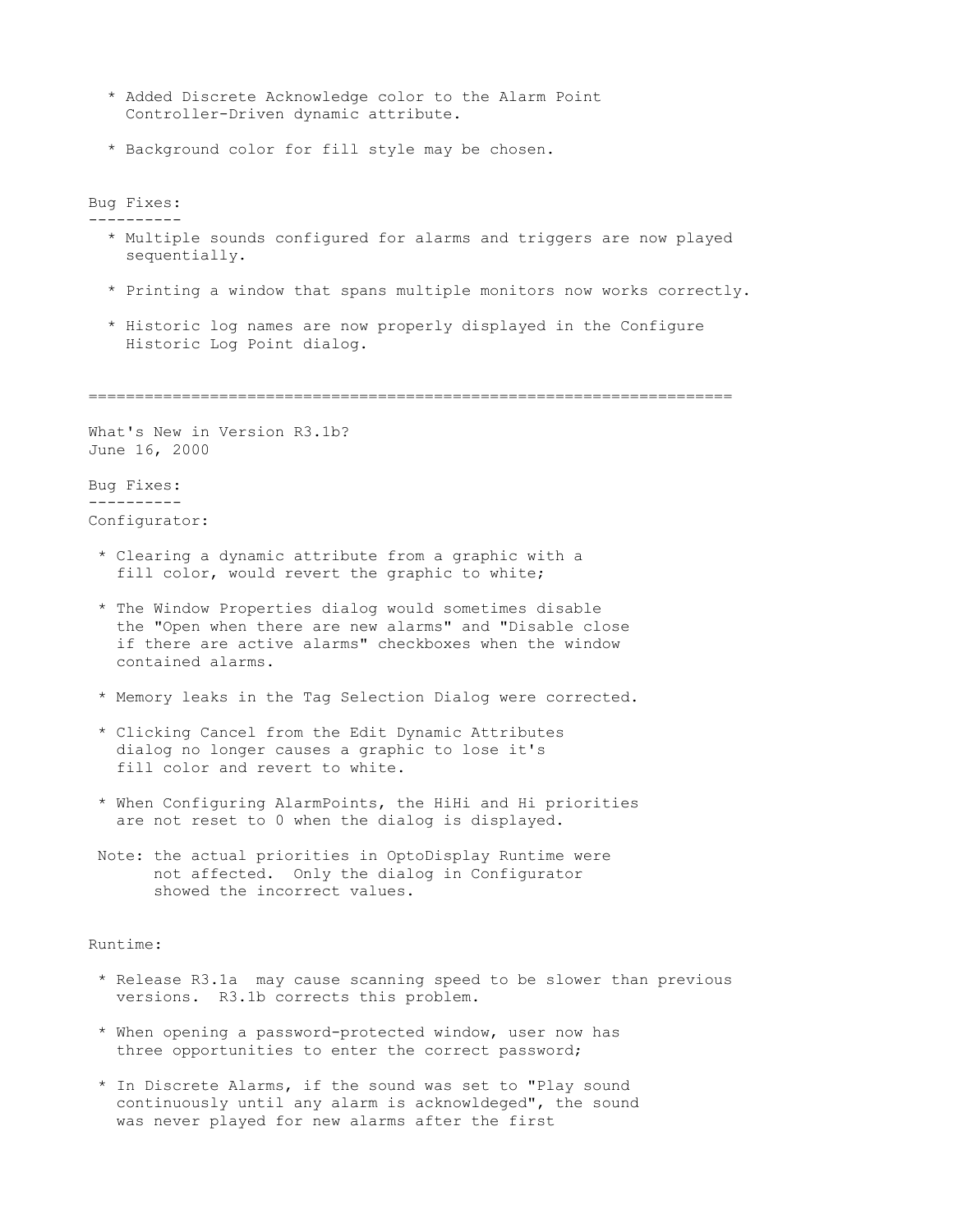- \* Added Discrete Acknowledge color to the Alarm Point Controller-Driven dynamic attribute.
- \* Background color for fill style may be chosen.

Bug Fixes: ----------

- \* Multiple sounds configured for alarms and triggers are now played sequentially.
- \* Printing a window that spans multiple monitors now works correctly.
- \* Historic log names are now properly displayed in the Configure Historic Log Point dialog.

=====================================================================

What's New in Version R3.1b? June 16, 2000

Bug Fixes: ---------- Configurator:

- \* Clearing a dynamic attribute from a graphic with a fill color, would revert the graphic to white;
- \* The Window Properties dialog would sometimes disable the "Open when there are new alarms" and "Disable close if there are active alarms" checkboxes when the window contained alarms.
- \* Memory leaks in the Tag Selection Dialog were corrected.
- \* Clicking Cancel from the Edit Dynamic Attributes dialog no longer causes a graphic to lose it's fill color and revert to white.
- \* When Configuring AlarmPoints, the HiHi and Hi priorities are not reset to 0 when the dialog is displayed.
- Note: the actual priorities in OptoDisplay Runtime were not affected. Only the dialog in Configurator showed the incorrect values.

## Runtime:

- \* Release R3.1a may cause scanning speed to be slower than previous versions. R3.1b corrects this problem.
- \* When opening a password-protected window, user now has three opportunities to enter the correct password;
- \* In Discrete Alarms, if the sound was set to "Play sound continuously until any alarm is acknowldeged", the sound was never played for new alarms after the first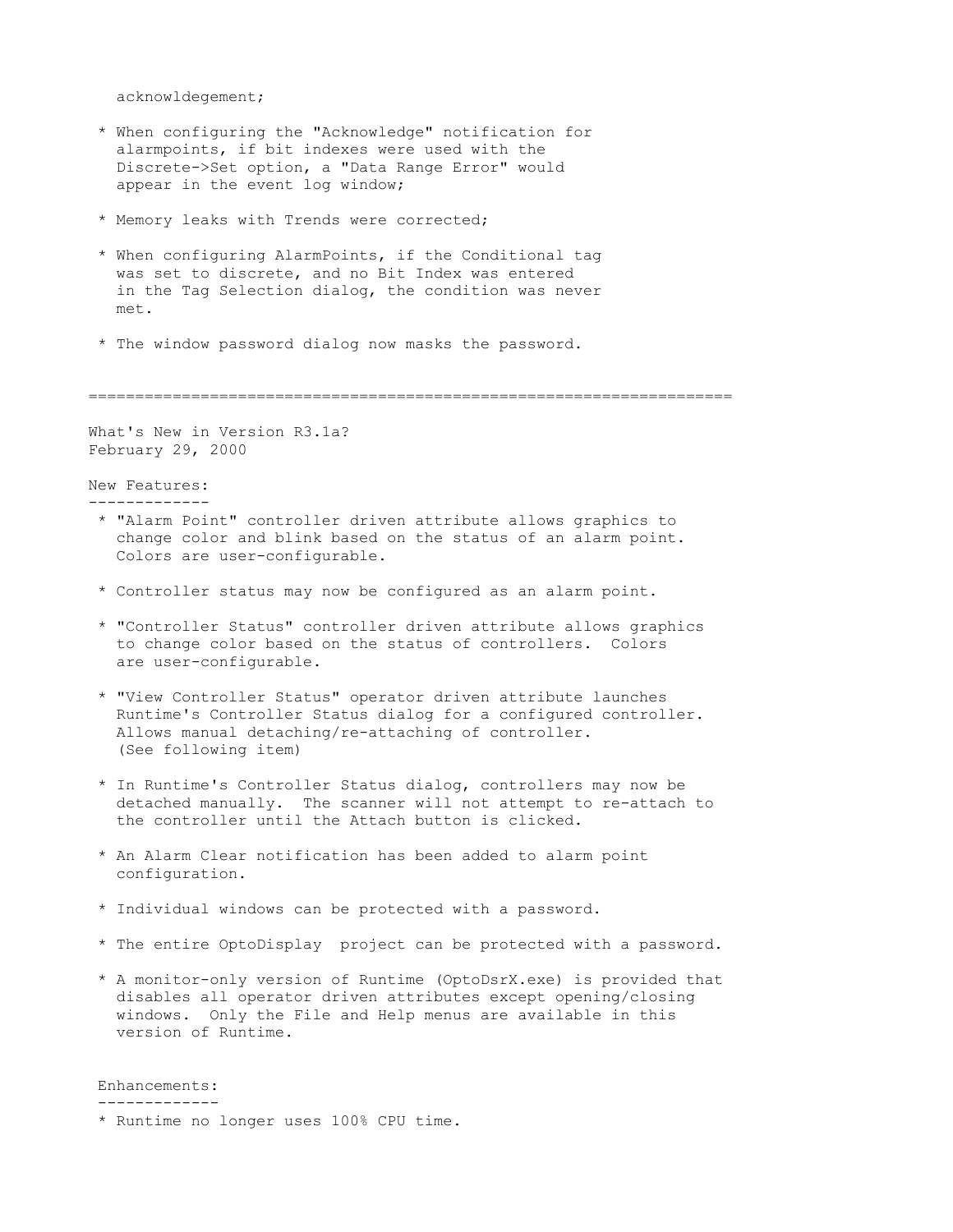acknowldegement;

- \* When configuring the "Acknowledge" notification for alarmpoints, if bit indexes were used with the Discrete->Set option, a "Data Range Error" would appear in the event log window;
- \* Memory leaks with Trends were corrected;
- \* When configuring AlarmPoints, if the Conditional tag was set to discrete, and no Bit Index was entered in the Tag Selection dialog, the condition was never met.
- \* The window password dialog now masks the password.

=====================================================================

What's New in Version R3.1a? February 29, 2000

New Features: -------------

- \* "Alarm Point" controller driven attribute allows graphics to change color and blink based on the status of an alarm point. Colors are user-configurable.
- \* Controller status may now be configured as an alarm point.
- \* "Controller Status" controller driven attribute allows graphics to change color based on the status of controllers. Colors are user-configurable.
- \* "View Controller Status" operator driven attribute launches Runtime's Controller Status dialog for a configured controller. Allows manual detaching/re-attaching of controller. (See following item)
- \* In Runtime's Controller Status dialog, controllers may now be detached manually. The scanner will not attempt to re-attach to the controller until the Attach button is clicked.
- \* An Alarm Clear notification has been added to alarm point configuration.
- \* Individual windows can be protected with a password.
- \* The entire OptoDisplay project can be protected with a password.
- \* A monitor-only version of Runtime (OptoDsrX.exe) is provided that disables all operator driven attributes except opening/closing windows. Only the File and Help menus are available in this version of Runtime.

 Enhancements: -------------

\* Runtime no longer uses 100% CPU time.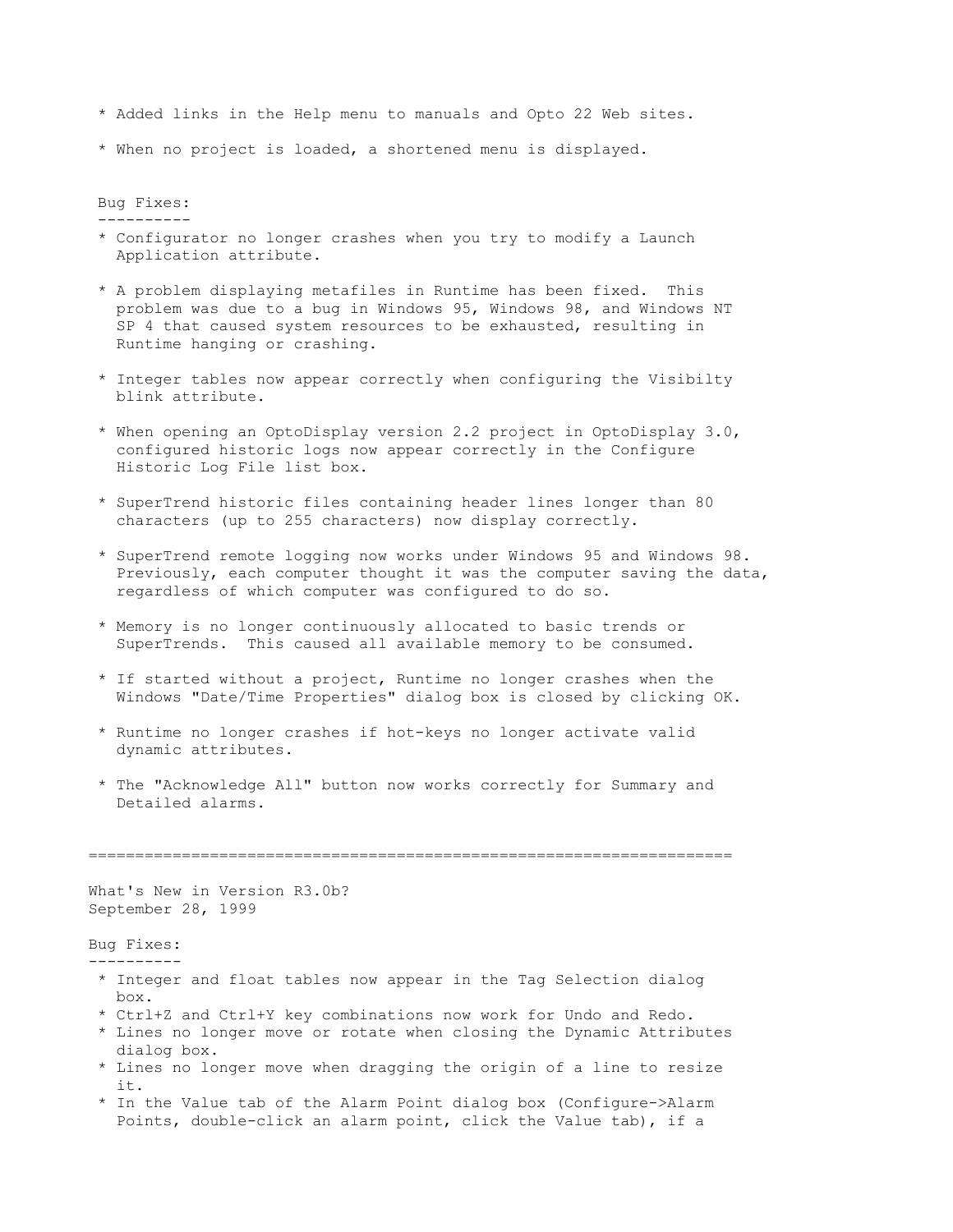- \* Added links in the Help menu to manuals and Opto 22 Web sites.
- \* When no project is loaded, a shortened menu is displayed.

 Bug Fixes: ----------

- \* Configurator no longer crashes when you try to modify a Launch Application attribute.
- \* A problem displaying metafiles in Runtime has been fixed. This problem was due to a bug in Windows 95, Windows 98, and Windows NT SP 4 that caused system resources to be exhausted, resulting in Runtime hanging or crashing.
- \* Integer tables now appear correctly when configuring the Visibilty blink attribute.
- \* When opening an OptoDisplay version 2.2 project in OptoDisplay 3.0, configured historic logs now appear correctly in the Configure Historic Log File list box.
- \* SuperTrend historic files containing header lines longer than 80 characters (up to 255 characters) now display correctly.
- \* SuperTrend remote logging now works under Windows 95 and Windows 98. Previously, each computer thought it was the computer saving the data, regardless of which computer was configured to do so.
- \* Memory is no longer continuously allocated to basic trends or SuperTrends. This caused all available memory to be consumed.
- \* If started without a project, Runtime no longer crashes when the Windows "Date/Time Properties" dialog box is closed by clicking OK.
- \* Runtime no longer crashes if hot-keys no longer activate valid dynamic attributes.
- \* The "Acknowledge All" button now works correctly for Summary and Detailed alarms.

=====================================================================

What's New in Version R3.0b? September 28, 1999

### Bug Fixes:

- ----------
- \* Integer and float tables now appear in the Tag Selection dialog box.
- \* Ctrl+Z and Ctrl+Y key combinations now work for Undo and Redo.
- \* Lines no longer move or rotate when closing the Dynamic Attributes dialog box.
- \* Lines no longer move when dragging the origin of a line to resize  $i +$
- \* In the Value tab of the Alarm Point dialog box (Configure->Alarm Points, double-click an alarm point, click the Value tab), if a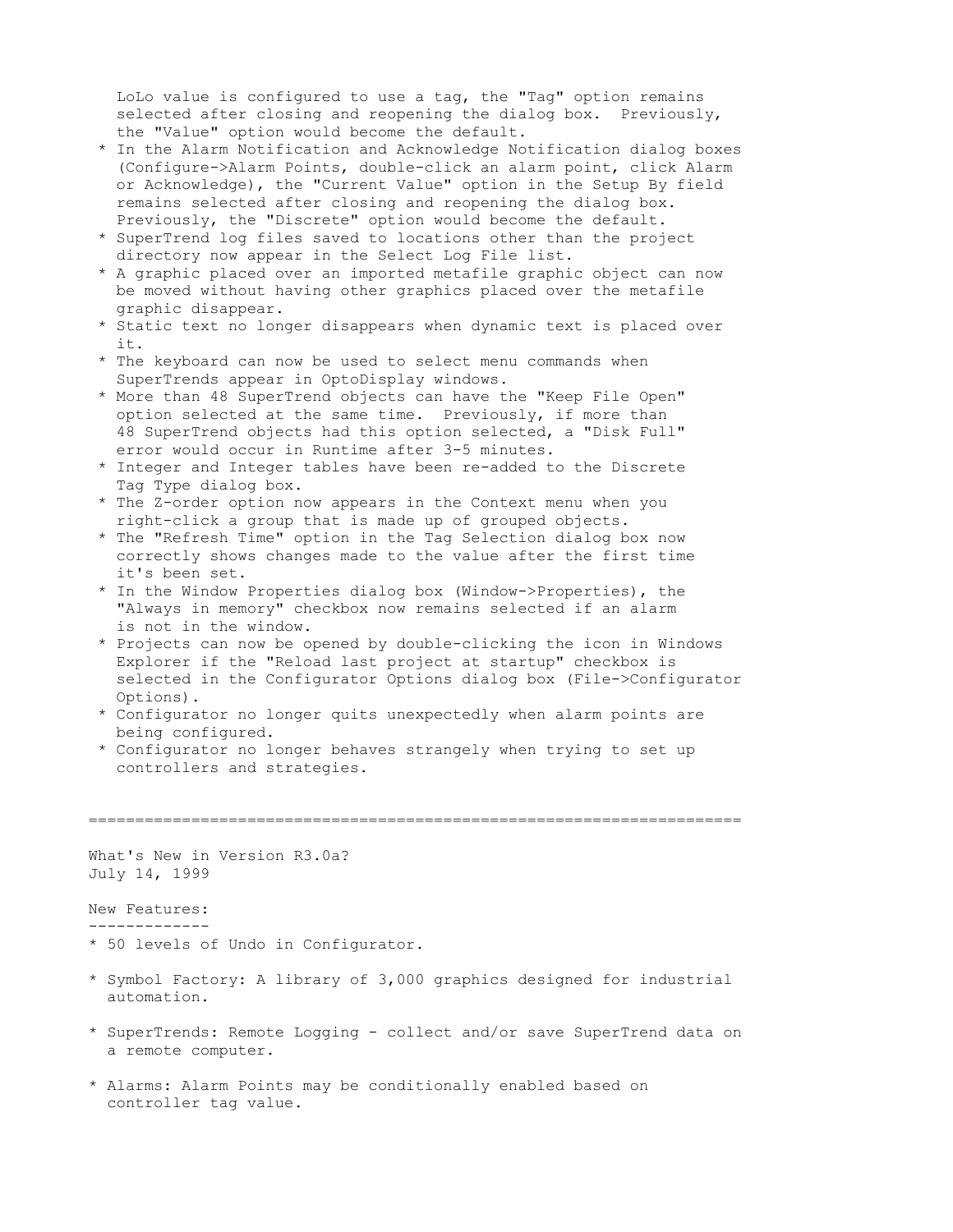LoLo value is configured to use a tag, the "Tag" option remains selected after closing and reopening the dialog box. Previously, the "Value" option would become the default.

- \* In the Alarm Notification and Acknowledge Notification dialog boxes (Configure->Alarm Points, double-click an alarm point, click Alarm or Acknowledge), the "Current Value" option in the Setup By field remains selected after closing and reopening the dialog box. Previously, the "Discrete" option would become the default.
- \* SuperTrend log files saved to locations other than the project directory now appear in the Select Log File list.
- \* A graphic placed over an imported metafile graphic object can now be moved without having other graphics placed over the metafile graphic disappear.
- \* Static text no longer disappears when dynamic text is placed over it.
- \* The keyboard can now be used to select menu commands when SuperTrends appear in OptoDisplay windows.
- \* More than 48 SuperTrend objects can have the "Keep File Open" option selected at the same time. Previously, if more than 48 SuperTrend objects had this option selected, a "Disk Full" error would occur in Runtime after 3-5 minutes.
- \* Integer and Integer tables have been re-added to the Discrete Tag Type dialog box.
- \* The Z-order option now appears in the Context menu when you right-click a group that is made up of grouped objects.
- \* The "Refresh Time" option in the Tag Selection dialog box now correctly shows changes made to the value after the first time it's been set.
- \* In the Window Properties dialog box (Window->Properties), the "Always in memory" checkbox now remains selected if an alarm is not in the window.
- \* Projects can now be opened by double-clicking the icon in Windows Explorer if the "Reload last project at startup" checkbox is selected in the Configurator Options dialog box (File->Configurator Options).
- \* Configurator no longer quits unexpectedly when alarm points are being configured.
- \* Configurator no longer behaves strangely when trying to set up controllers and strategies.

======================================================================

What's New in Version R3.0a? July 14, 1999

New Features:

-------------

- \* 50 levels of Undo in Configurator.
- \* Symbol Factory: A library of 3,000 graphics designed for industrial automation.
- \* SuperTrends: Remote Logging collect and/or save SuperTrend data on a remote computer.
- \* Alarms: Alarm Points may be conditionally enabled based on controller tag value.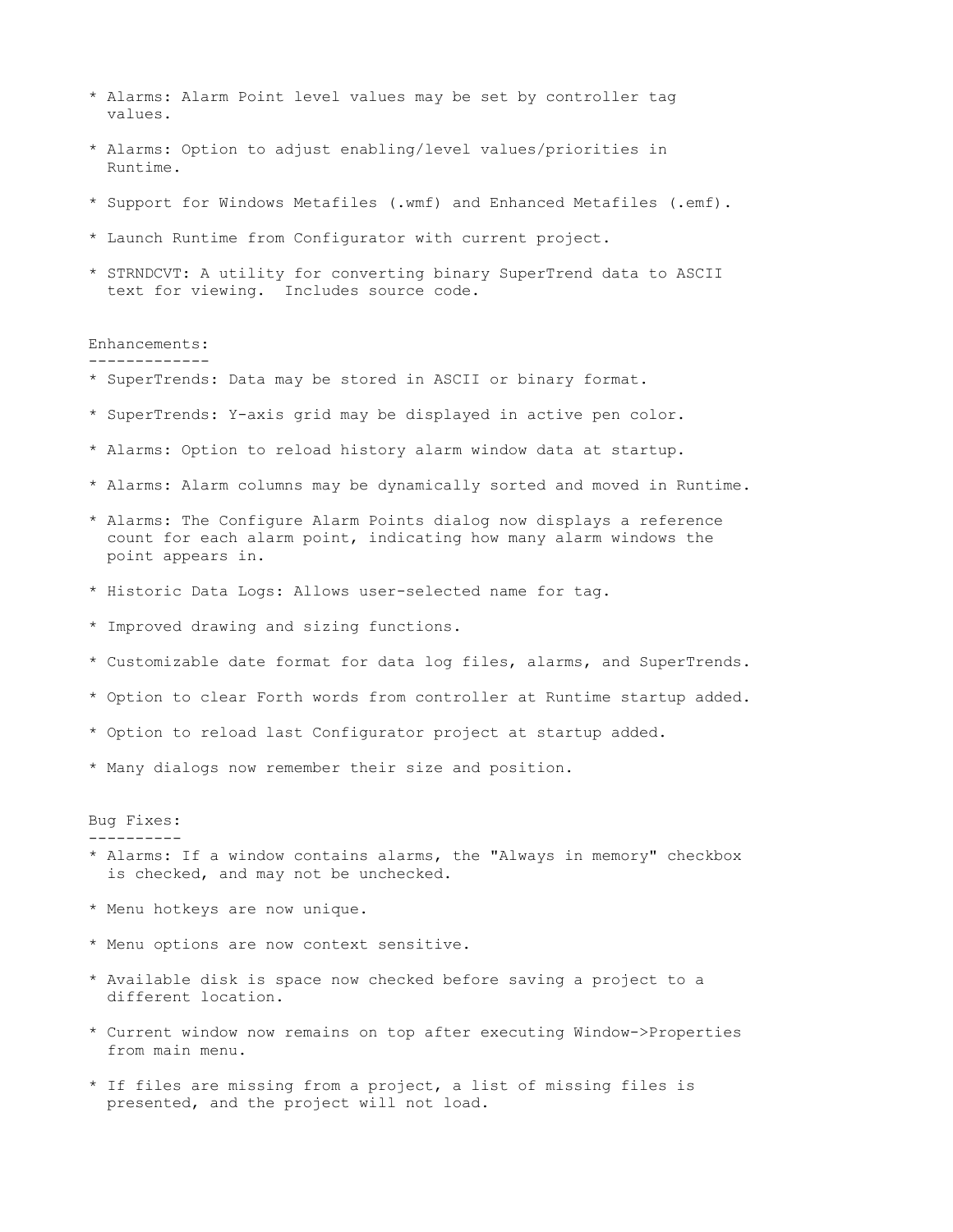- \* Alarms: Alarm Point level values may be set by controller tag values.
- \* Alarms: Option to adjust enabling/level values/priorities in Runtime.
- \* Support for Windows Metafiles (.wmf) and Enhanced Metafiles (.emf).
- \* Launch Runtime from Configurator with current project.
- \* STRNDCVT: A utility for converting binary SuperTrend data to ASCII text for viewing. Includes source code.

Enhancements:

-------------

- \* SuperTrends: Data may be stored in ASCII or binary format.
- \* SuperTrends: Y-axis grid may be displayed in active pen color.
- \* Alarms: Option to reload history alarm window data at startup.
- \* Alarms: Alarm columns may be dynamically sorted and moved in Runtime.
- \* Alarms: The Configure Alarm Points dialog now displays a reference count for each alarm point, indicating how many alarm windows the point appears in.
- \* Historic Data Logs: Allows user-selected name for tag.
- \* Improved drawing and sizing functions.
- \* Customizable date format for data log files, alarms, and SuperTrends.
- \* Option to clear Forth words from controller at Runtime startup added.
- \* Option to reload last Configurator project at startup added.
- \* Many dialogs now remember their size and position.

# Bug Fixes:

----------

- \* Alarms: If a window contains alarms, the "Always in memory" checkbox is checked, and may not be unchecked.
- \* Menu hotkeys are now unique.
- \* Menu options are now context sensitive.
- \* Available disk is space now checked before saving a project to a different location.
- \* Current window now remains on top after executing Window->Properties from main menu.
- \* If files are missing from a project, a list of missing files is presented, and the project will not load.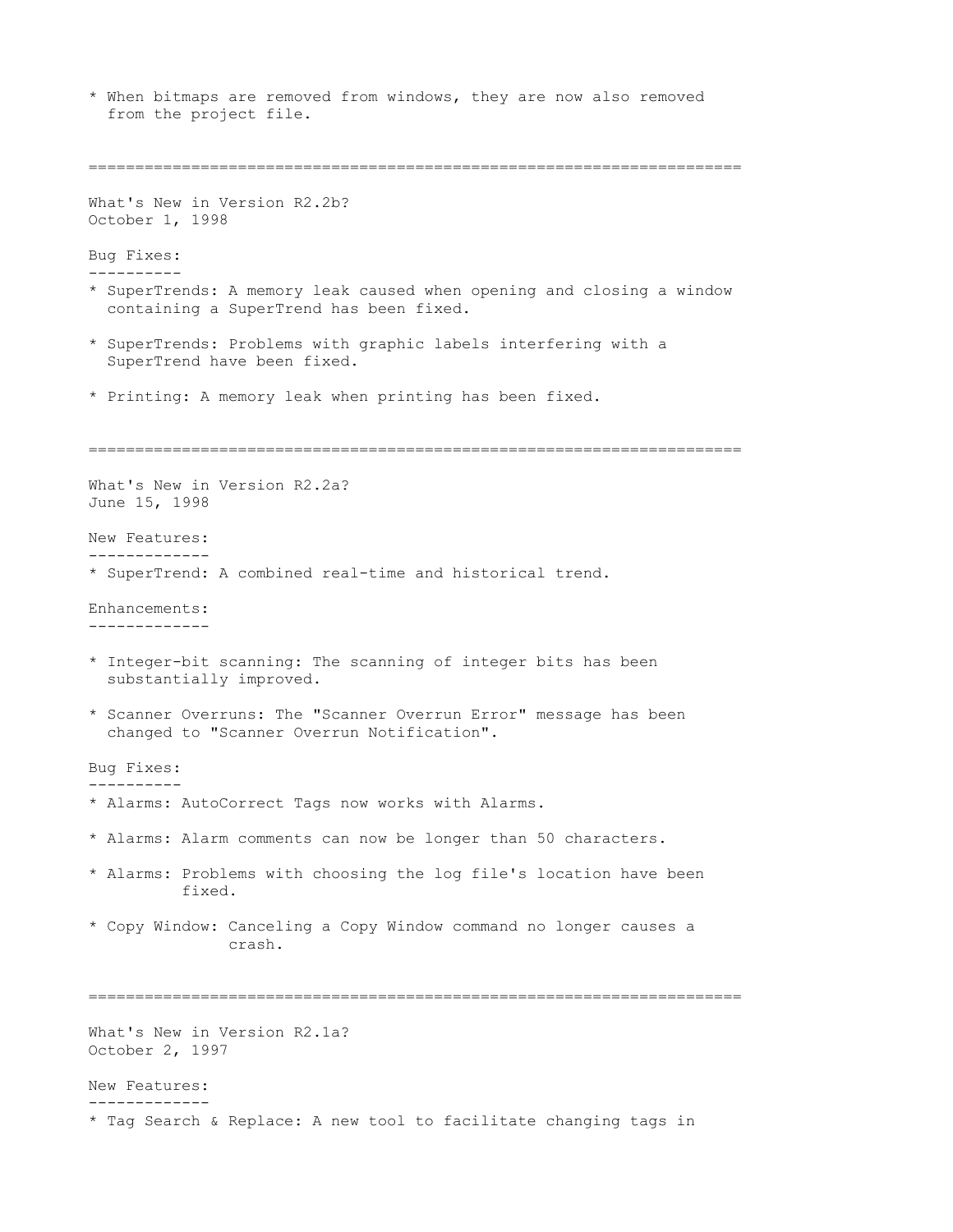```
* When bitmaps are removed from windows, they are now also removed
   from the project file.
======================================================================
What's New in Version R2.2b?
October 1, 1998
Bug Fixes:
----------
* SuperTrends: A memory leak caused when opening and closing a window 
   containing a SuperTrend has been fixed.
* SuperTrends: Problems with graphic labels interfering with a 
   SuperTrend have been fixed.
* Printing: A memory leak when printing has been fixed.
======================================================================
What's New in Version R2.2a?
June 15, 1998
New Features:
-------------
* SuperTrend: A combined real-time and historical trend.
Enhancements:
-------------
* Integer-bit scanning: The scanning of integer bits has been 
   substantially improved.
* Scanner Overruns: The "Scanner Overrun Error" message has been
   changed to "Scanner Overrun Notification".
Bug Fixes:
----------
* Alarms: AutoCorrect Tags now works with Alarms.
* Alarms: Alarm comments can now be longer than 50 characters.
* Alarms: Problems with choosing the log file's location have been 
           fixed.
* Copy Window: Canceling a Copy Window command no longer causes a 
                crash.
======================================================================
What's New in Version R2.1a?
October 2, 1997
New Features:
-------------
* Tag Search & Replace: A new tool to facilitate changing tags in
```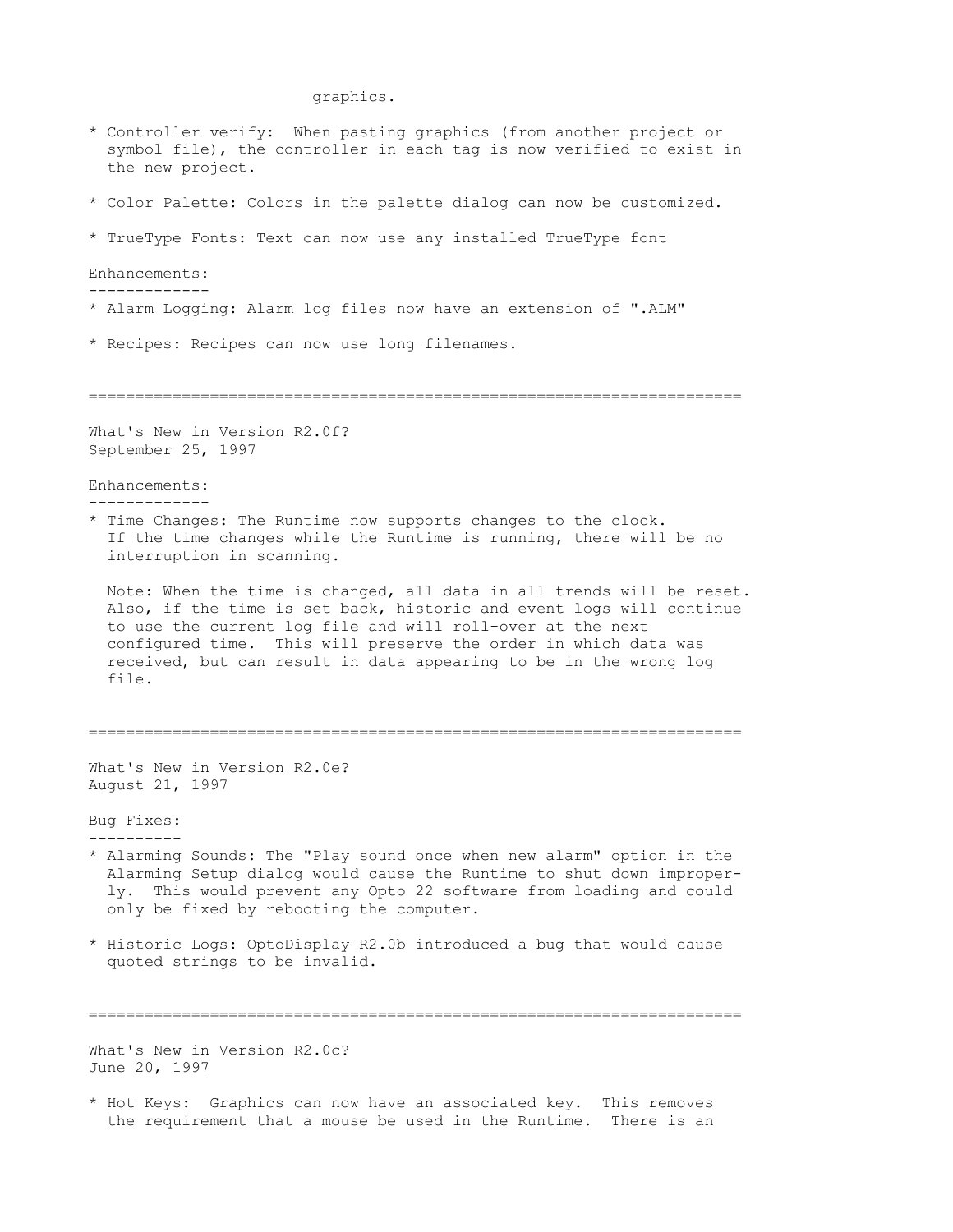# graphics.

|               | * Controller verify: When pasting graphics (from another project or<br>symbol file), the controller in each tag is now verified to exist in<br>the new project.                                                                                                                                                                                              |
|---------------|--------------------------------------------------------------------------------------------------------------------------------------------------------------------------------------------------------------------------------------------------------------------------------------------------------------------------------------------------------------|
|               | * Color Palette: Colors in the palette dialog can now be customized.                                                                                                                                                                                                                                                                                         |
|               | * TrueType Fonts: Text can now use any installed TrueType font                                                                                                                                                                                                                                                                                               |
|               | Enhancements:                                                                                                                                                                                                                                                                                                                                                |
|               | * Alarm Logging: Alarm log files now have an extension of ".ALM"                                                                                                                                                                                                                                                                                             |
|               | * Recipes: Recipes can now use long filenames.                                                                                                                                                                                                                                                                                                               |
|               | What's New in Version R2.0f?<br>September 25, 1997                                                                                                                                                                                                                                                                                                           |
|               | Enhancements:                                                                                                                                                                                                                                                                                                                                                |
|               | * Time Changes: The Runtime now supports changes to the clock.<br>If the time changes while the Runtime is running, there will be no<br>interruption in scanning.                                                                                                                                                                                            |
|               | Note: When the time is changed, all data in all trends will be reset.<br>Also, if the time is set back, historic and event logs will continue<br>to use the current log file and will roll-over at the next<br>configured time. This will preserve the order in which data was<br>received, but can result in data appearing to be in the wrong log<br>file. |
|               | -----------------------<br>What's New in Version R2.0e?<br>August 21, 1997                                                                                                                                                                                                                                                                                   |
|               | Bug Fixes:                                                                                                                                                                                                                                                                                                                                                   |
|               | * Alarming Sounds: The "Play sound once when new alarm" option in the<br>Alarming Setup dialog would cause the Runtime to shut down improper-<br>ly. This would prevent any Opto 22 software from loading and could<br>only be fixed by rebooting the computer.                                                                                              |
|               | * Historic Logs: OptoDisplay R2.0b introduced a bug that would cause<br>quoted strings to be invalid.                                                                                                                                                                                                                                                        |
|               | What's New in Version R2.0c?                                                                                                                                                                                                                                                                                                                                 |
| June 20, 1997 |                                                                                                                                                                                                                                                                                                                                                              |

\* Hot Keys: Graphics can now have an associated key. This removes the requirement that a mouse be used in the Runtime. There is an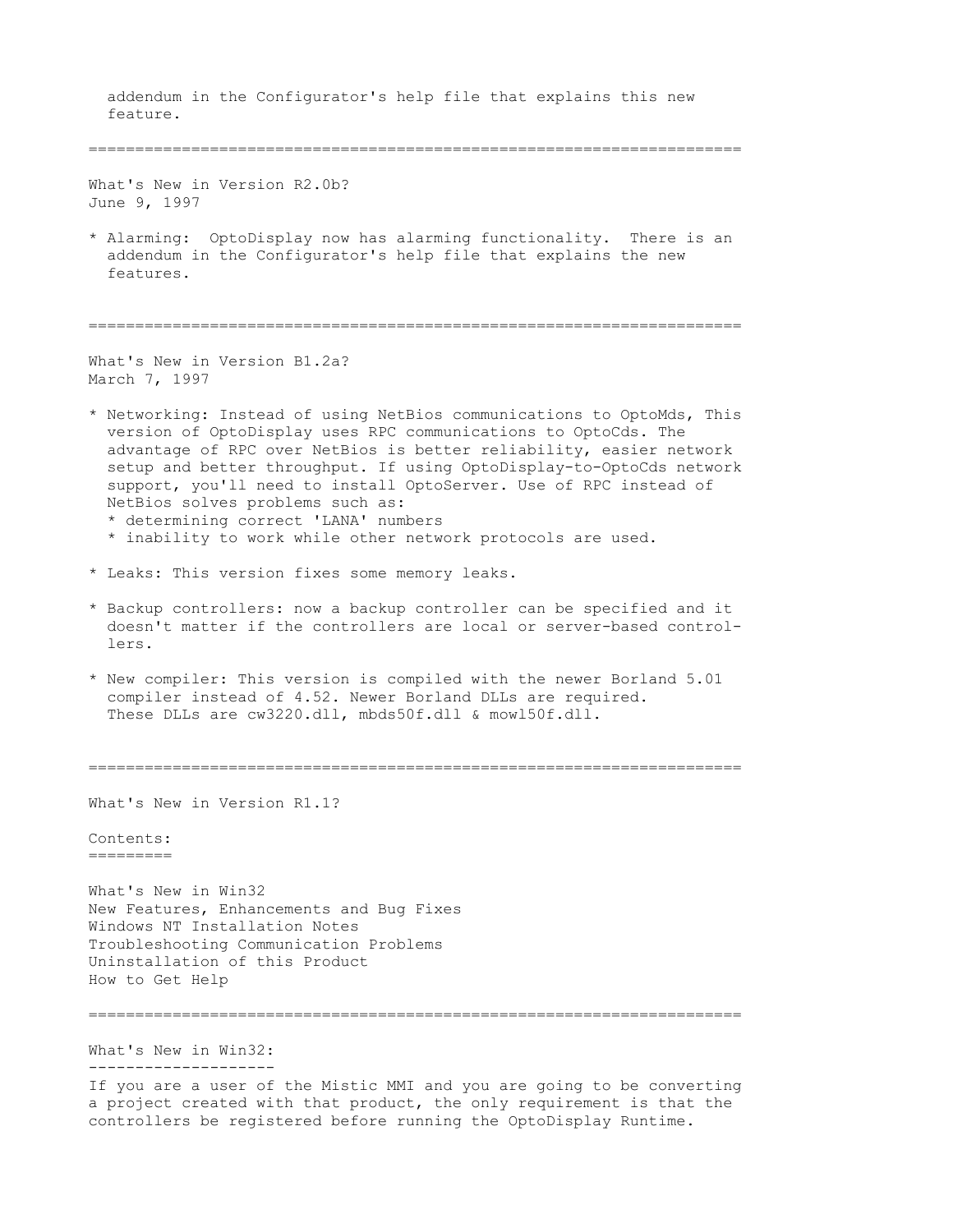addendum in the Configurator's help file that explains this new feature. ====================================================================== What's New in Version R2.0b? June 9, 1997 \* Alarming: OptoDisplay now has alarming functionality. There is an addendum in the Configurator's help file that explains the new features. ====================================================================== What's New in Version B1.2a? March 7, 1997 \* Networking: Instead of using NetBios communications to OptoMds, This version of OptoDisplay uses RPC communications to OptoCds. The advantage of RPC over NetBios is better reliability, easier network setup and better throughput. If using OptoDisplay-to-OptoCds network support, you'll need to install OptoServer. Use of RPC instead of NetBios solves problems such as: \* determining correct 'LANA' numbers \* inability to work while other network protocols are used. \* Leaks: This version fixes some memory leaks. \* Backup controllers: now a backup controller can be specified and it doesn't matter if the controllers are local or server-based control lers. \* New compiler: This version is compiled with the newer Borland 5.01 compiler instead of 4.52. Newer Borland DLLs are required. These DLLs are cw3220.dll, mbds50f.dll & mowl50f.dll. ====================================================================== What's New in Version R1.1? Contents: ========= What's New in Win32 New Features, Enhancements and Bug Fixes Windows NT Installation Notes Troubleshooting Communication Problems Uninstallation of this Product How to Get Help ====================================================================== What's New in Win32: -------------------- If you are a user of the Mistic MMI and you are going to be converting a project created with that product, the only requirement is that the

controllers be registered before running the OptoDisplay Runtime.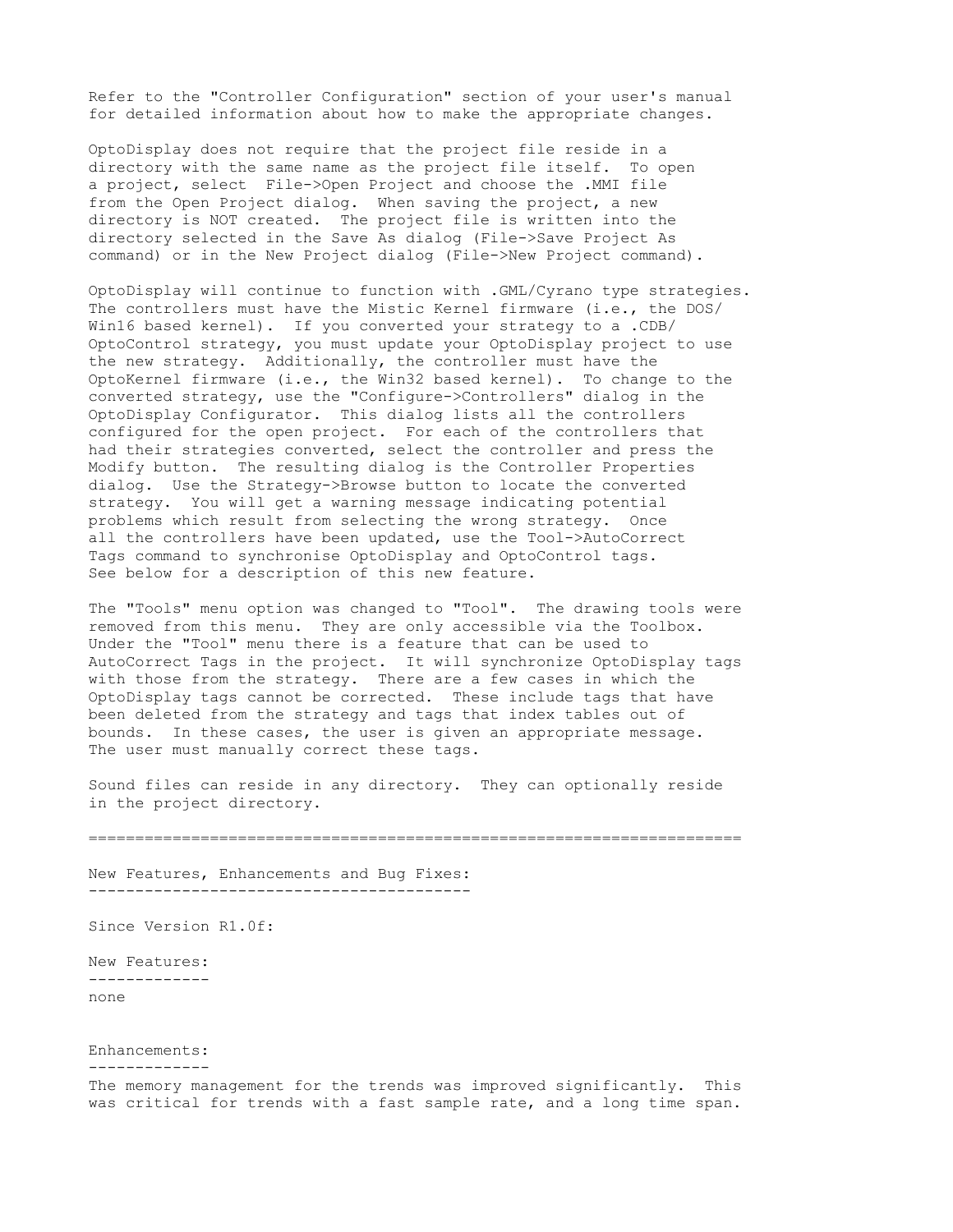Refer to the "Controller Configuration" section of your user's manual for detailed information about how to make the appropriate changes.

OptoDisplay does not require that the project file reside in a directory with the same name as the project file itself. To open a project, select File->Open Project and choose the .MMI file from the Open Project dialog. When saving the project, a new directory is NOT created. The project file is written into the directory selected in the Save As dialog (File->Save Project As command) or in the New Project dialog (File->New Project command).

OptoDisplay will continue to function with .GML/Cyrano type strategies. The controllers must have the Mistic Kernel firmware (i.e., the DOS/ Win16 based kernel). If you converted your strategy to a .CDB/ OptoControl strategy, you must update your OptoDisplay project to use the new strategy. Additionally, the controller must have the OptoKernel firmware (i.e., the Win32 based kernel). To change to the converted strategy, use the "Configure->Controllers" dialog in the OptoDisplay Configurator. This dialog lists all the controllers configured for the open project. For each of the controllers that had their strategies converted, select the controller and press the Modify button. The resulting dialog is the Controller Properties dialog. Use the Strategy->Browse button to locate the converted strategy. You will get a warning message indicating potential problems which result from selecting the wrong strategy. Once all the controllers have been updated, use the Tool->AutoCorrect Tags command to synchronise OptoDisplay and OptoControl tags. See below for a description of this new feature.

The "Tools" menu option was changed to "Tool". The drawing tools were removed from this menu. They are only accessible via the Toolbox. Under the "Tool" menu there is a feature that can be used to AutoCorrect Tags in the project. It will synchronize OptoDisplay tags with those from the strategy. There are a few cases in which the OptoDisplay tags cannot be corrected. These include tags that have been deleted from the strategy and tags that index tables out of bounds. In these cases, the user is given an appropriate message. The user must manually correct these tags.

Sound files can reside in any directory. They can optionally reside in the project directory.

======================================================================

New Features, Enhancements and Bug Fixes: -----------------------------------------

Since Version R1.0f:

New Features: ------------ none

Enhancements: -------------

The memory management for the trends was improved significantly. This was critical for trends with a fast sample rate, and a long time span.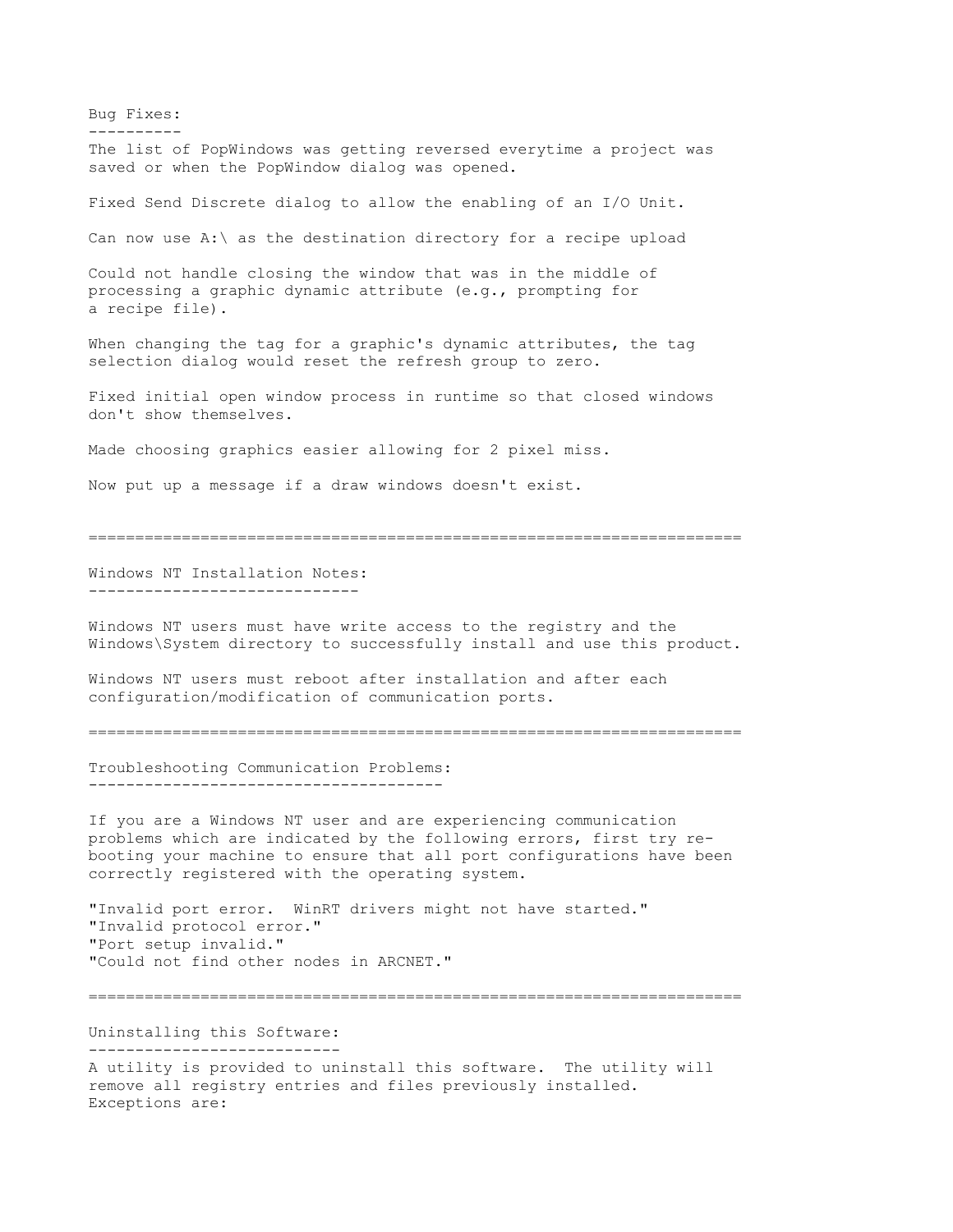Bug Fixes: ---------- The list of PopWindows was getting reversed everytime a project was saved or when the PopWindow dialog was opened. Fixed Send Discrete dialog to allow the enabling of an I/O Unit. Can now use  $A:\ A$  as the destination directory for a recipe upload Could not handle closing the window that was in the middle of processing a graphic dynamic attribute (e.g., prompting for a recipe file). When changing the tag for a graphic's dynamic attributes, the tag selection dialog would reset the refresh group to zero. Fixed initial open window process in runtime so that closed windows don't show themselves. Made choosing graphics easier allowing for 2 pixel miss. Now put up a message if a draw windows doesn't exist. ====================================================================== Windows NT Installation Notes: ----------------------------- Windows NT users must have write access to the registry and the Windows\System directory to successfully install and use this product. Windows NT users must reboot after installation and after each configuration/modification of communication ports. ====================================================================== Troubleshooting Communication Problems: -------------------------------------- If you are a Windows NT user and are experiencing communication problems which are indicated by the following errors, first try rebooting your machine to ensure that all port configurations have been correctly registered with the operating system. "Invalid port error. WinRT drivers might not have started." "Invalid protocol error." "Port setup invalid." "Could not find other nodes in ARCNET." ====================================================================== Uninstalling this Software: --------------------------- A utility is provided to uninstall this software. The utility will

remove all registry entries and files previously installed.

Exceptions are: